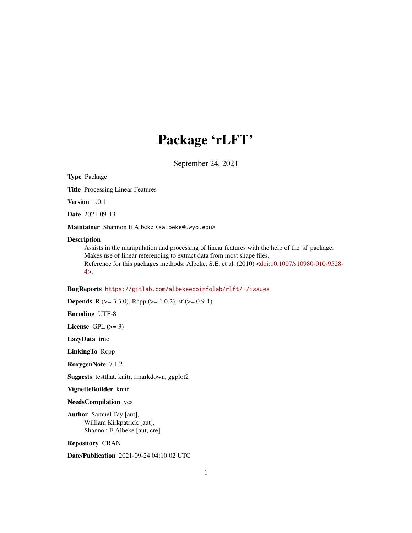## Package 'rLFT'

September 24, 2021

Type Package

Title Processing Linear Features

Version 1.0.1

Date 2021-09-13

Maintainer Shannon E Albeke <salbeke@uwyo.edu>

#### Description

Assists in the manipulation and processing of linear features with the help of the 'sf' package. Makes use of linear referencing to extract data from most shape files. Reference for this packages methods: Albeke, S.E. et al. (2010) [<doi:10.1007/s10980-010-9528-](https://doi.org/10.1007/s10980-010-9528-4)  $4$ 

#### BugReports <https://gitlab.com/albekeecoinfolab/rlft/-/issues>

**Depends** R ( $>= 3.3.0$ ), Rcpp ( $>= 1.0.2$ ), sf ( $>= 0.9-1$ )

Encoding UTF-8

License GPL  $(>= 3)$ 

LazyData true

LinkingTo Rcpp

RoxygenNote 7.1.2

Suggests testthat, knitr, rmarkdown, ggplot2

VignetteBuilder knitr

NeedsCompilation yes

Author Samuel Fay [aut], William Kirkpatrick [aut], Shannon E Albeke [aut, cre]

Repository CRAN

Date/Publication 2021-09-24 04:10:02 UTC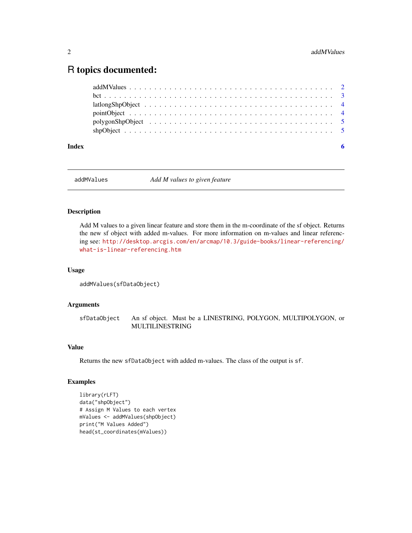### <span id="page-1-0"></span>R topics documented:

| Index |  |
|-------|--|

addMValues *Add M values to given feature*

#### Description

Add M values to a given linear feature and store them in the m-coordinate of the sf object. Returns the new sf object with added m-values. For more information on m-values and linear referencing see: [http://desktop.arcgis.com/en/arcmap/10.3/guide-books/linear-referencing/](http://desktop.arcgis.com/en/arcmap/10.3/guide-books/linear-referencing/what-is-linear-referencing.htm) [what-is-linear-referencing.htm](http://desktop.arcgis.com/en/arcmap/10.3/guide-books/linear-referencing/what-is-linear-referencing.htm)

#### Usage

```
addMValues(sfDataObject)
```
#### Arguments

sfDataObject An sf object. Must be a LINESTRING, POLYGON, MULTIPOLYGON, or MULTILINESTRING

#### Value

Returns the new sfDataObject with added m-values. The class of the output is sf.

#### Examples

```
library(rLFT)
data("shpObject")
# Assign M Values to each vertex
mValues <- addMValues(shpObject)
print("M Values Added")
head(st_coordinates(mValues))
```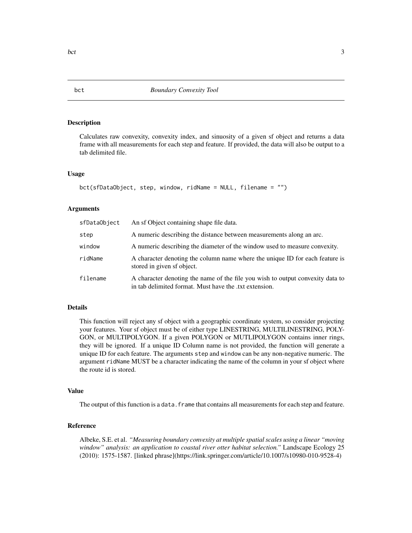#### Description

Calculates raw convexity, convexity index, and sinuosity of a given sf object and returns a data frame with all measurements for each step and feature. If provided, the data will also be output to a tab delimited file.

#### Usage

```
bct(sfDataObject, step, window, ridName = NULL, filename = "")
```
#### Arguments

| sfDataObject | An sf Object containing shape file data.                                                                                                |
|--------------|-----------------------------------------------------------------------------------------------------------------------------------------|
| step         | A numeric describing the distance between measurements along an arc.                                                                    |
| window       | A numeric describing the diameter of the window used to measure convexity.                                                              |
| ridName      | A character denoting the column name where the unique ID for each feature is<br>stored in given sf object.                              |
| filename     | A character denoting the name of the file you wish to output convexity data to<br>in tab delimited format. Must have the txt extension. |

#### Details

This function will reject any sf object with a geographic coordinate system, so consider projecting your features. Your sf object must be of either type LINESTRING, MULTILINESTRING, POLY-GON, or MULTIPOLYGON. If a given POLYGON or MUTLIPOLYGON contains inner rings, they will be ignored. If a unique ID Column name is not provided, the function will generate a unique ID for each feature. The arguments step and window can be any non-negative numeric. The argument ridName MUST be a character indicating the name of the column in your sf object where the route id is stored.

#### Value

The output of this function is a data. frame that contains all measurements for each step and feature.

#### Reference

Albeke, S.E. et al. *"Measuring boundary convexity at multiple spatial scales using a linear "moving window" analysis: an application to coastal river otter habitat selection."* Landscape Ecology 25 (2010): 1575-1587. [linked phrase](https://link.springer.com/article/10.1007/s10980-010-9528-4)

<span id="page-2-0"></span>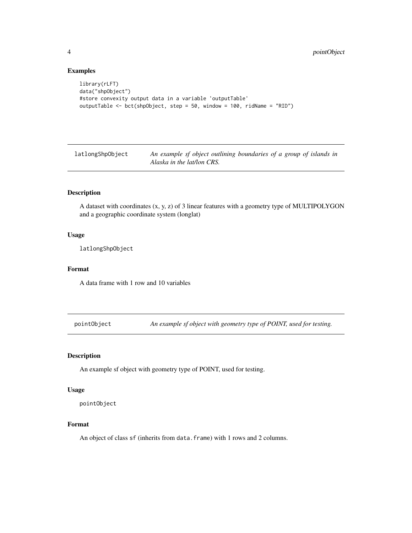#### Examples

```
library(rLFT)
data("shpObject")
#store convexity output data in a variable 'outputTable'
outputTable <- bct(shpObject, step = 50, window = 100, ridName = "RID")
```
latlongShpObject *An example sf object outlining boundaries of a group of islands in Alaska in the lat/lon CRS.*

#### Description

A dataset with coordinates (x, y, z) of 3 linear features with a geometry type of MULTIPOLYGON and a geographic coordinate system (longlat)

#### Usage

latlongShpObject

#### Format

A data frame with 1 row and 10 variables

pointObject *An example sf object with geometry type of POINT, used for testing.*

#### Description

An example sf object with geometry type of POINT, used for testing.

#### Usage

pointObject

#### Format

An object of class sf (inherits from data.frame) with 1 rows and 2 columns.

<span id="page-3-0"></span>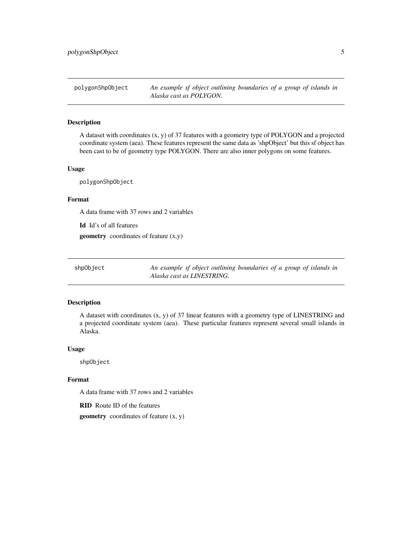<span id="page-4-0"></span>polygonShpObject *An example sf object outlining boundaries of a group of islands in Alaska cast as POLYGON.*

#### Description

A dataset with coordinates (x, y) of 37 features with a geometry type of POLYGON and a projected coordinate system (aea). These features represent the same data as 'shpObject' but this sf object has been cast to be of geometry type POLYGON. There are also inner polygons on some features.

#### Usage

polygonShpObject

#### Format

A data frame with 37 rows and 2 variables

Id Id's of all features geometry coordinates of feature (x,y)

shpObject *An example sf object outlining boundaries of a group of islands in Alaska cast as LINESTRING.*

#### Description

A dataset with coordinates (x, y) of 37 linear features with a geometry type of LINESTRING and a projected coordinate system (aea). These particular features represent several small islands in Alaska.

#### Usage

shpObject

#### Format

A data frame with 37 rows and 2 variables

RID Route ID of the features

geometry coordinates of feature (x, y)